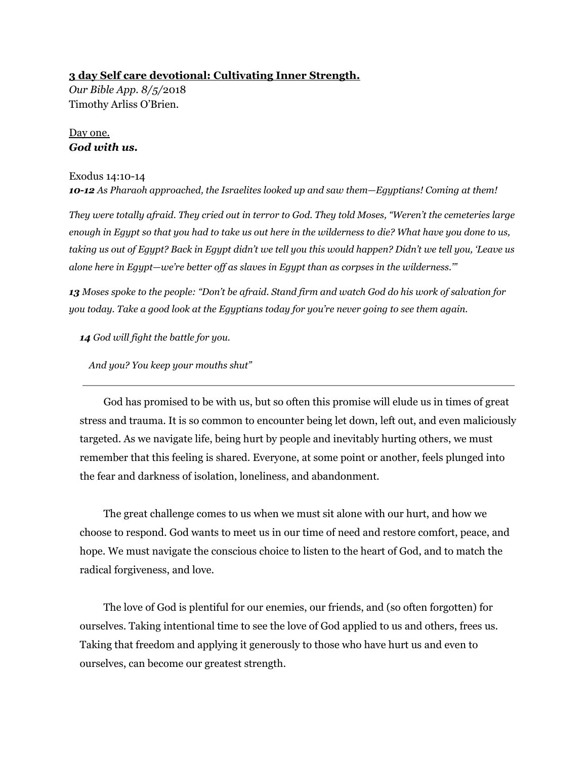### **3 day Self care devotional: Cultivating Inner Strength.**

*Our Bible App. 8/5/*2018 Timothy Arliss O'Brien.

# Day one. *God with us.*

# Exodus 14:10-14 *10-12 As Pharaoh approached, the Israelites looked up and saw them—Egyptians! Coming at them!*

*They were totally afraid. They cried out in terror to God. They told Moses, "Weren't the cemeteries large* enough in Egypt so that you had to take us out here in the wilderness to die? What have you done to us, taking us out of Egypt? Back in Egypt didn't we tell you this would happen? Didn't we tell you, 'Leave us *alone here in Egypt—we're better off as slaves in Egypt than as corpses in the wilderness.'"*

13 Moses spoke to the people: "Don't be afraid. Stand firm and watch God do his work of salvation for *you today. Take a good look at the Egyptians today for you're never going to see them again.*

*14 God will fight the battle for you.*

*And you? You keep your mouths shut"*

God has promised to be with us, but so often this promise will elude us in times of great stress and trauma. It is so common to encounter being let down, left out, and even maliciously targeted. As we navigate life, being hurt by people and inevitably hurting others, we must remember that this feeling is shared. Everyone, at some point or another, feels plunged into the fear and darkness of isolation, loneliness, and abandonment.

The great challenge comes to us when we must sit alone with our hurt, and how we choose to respond. God wants to meet us in our time of need and restore comfort, peace, and hope. We must navigate the conscious choice to listen to the heart of God, and to match the radical forgiveness, and love.

The love of God is plentiful for our enemies, our friends, and (so often forgotten) for ourselves. Taking intentional time to see the love of God applied to us and others, frees us. Taking that freedom and applying it generously to those who have hurt us and even to ourselves, can become our greatest strength.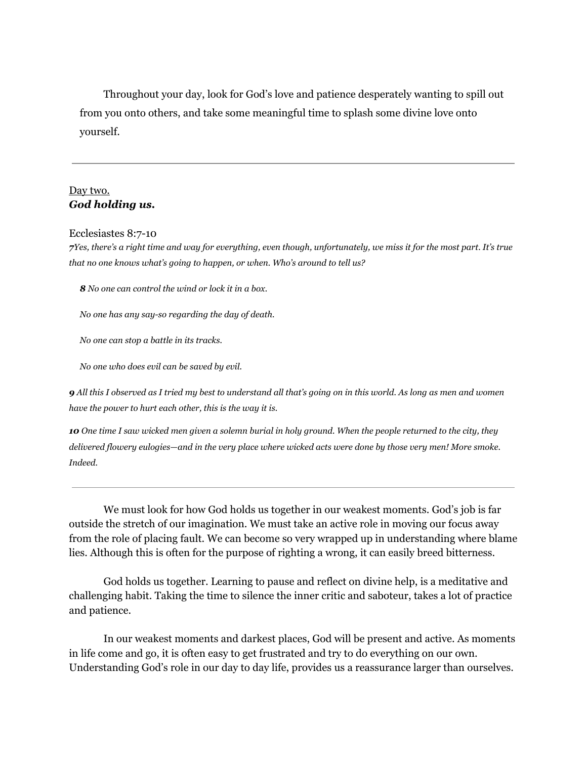Throughout your day, look for God's love and patience desperately wanting to spill out from you onto others, and take some meaningful time to splash some divine love onto yourself.

## Day two. *God holding us.*

Ecclesiastes 8:7-10

*7 Yes, there's a right time and way for everything, even though, unfortunately, we miss it for the most part. It's true that no one knows what's going to happen, or when. Who's around to tell us?*

*8 No one can control the wind or lock it in a box.*

*No one has any say-so regarding the day of death.*

*No one can stop a battle in its tracks.*

*No one who does evil can be saved by evil.*

*9 All this I observed as I tried my best to understand all that's going on in this world. As long as men and women have the power to hurt each other, this is the way it is.*

*10 One time I saw wicked men given a solemn burial in holy ground. When the people returned to the city, they delivered flowery eulogies—and in the very place where wicked acts were done by those very men! More smoke. Indeed.*

We must look for how God holds us together in our weakest moments. God's job is far outside the stretch of our imagination. We must take an active role in moving our focus away from the role of placing fault. We can become so very wrapped up in understanding where blame lies. Although this is often for the purpose of righting a wrong, it can easily breed bitterness.

God holds us together. Learning to pause and reflect on divine help, is a meditative and challenging habit. Taking the time to silence the inner critic and saboteur, takes a lot of practice and patience.

In our weakest moments and darkest places, God will be present and active. As moments in life come and go, it is often easy to get frustrated and try to do everything on our own. Understanding God's role in our day to day life, provides us a reassurance larger than ourselves.